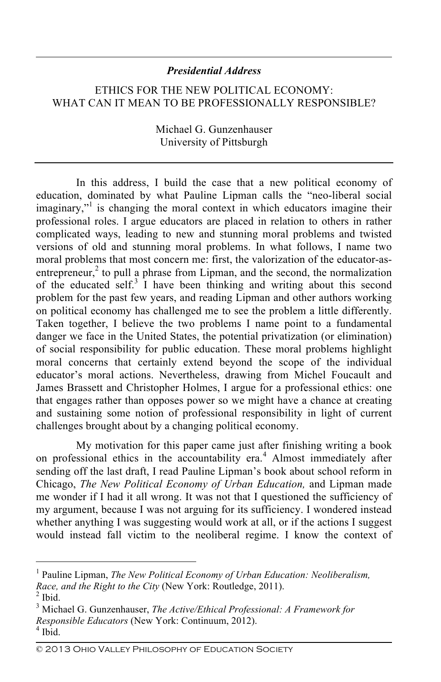## *Presidential Address*

## ETHICS FOR THE NEW POLITICAL ECONOMY: WHAT CAN IT MEAN TO BE PROFESSIONALLY RESPONSIBLE?

Michael G. Gunzenhauser University of Pittsburgh

In this address, I build the case that a new political economy of education, dominated by what Pauline Lipman calls the "neo-liberal social imaginary,"<sup>1</sup> is changing the moral context in which educators imagine their professional roles. I argue educators are placed in relation to others in rather complicated ways, leading to new and stunning moral problems and twisted versions of old and stunning moral problems. In what follows, I name two moral problems that most concern me: first, the valorization of the educator-asentrepreneur, $2$  to pull a phrase from Lipman, and the second, the normalization of the educated self.<sup>3</sup> I have been thinking and writing about this second problem for the past few years, and reading Lipman and other authors working on political economy has challenged me to see the problem a little differently. Taken together, I believe the two problems I name point to a fundamental danger we face in the United States, the potential privatization (or elimination) of social responsibility for public education. These moral problems highlight moral concerns that certainly extend beyond the scope of the individual educator's moral actions. Nevertheless, drawing from Michel Foucault and James Brassett and Christopher Holmes, I argue for a professional ethics: one that engages rather than opposes power so we might have a chance at creating and sustaining some notion of professional responsibility in light of current challenges brought about by a changing political economy.

My motivation for this paper came just after finishing writing a book on professional ethics in the accountability era.<sup>4</sup> Almost immediately after sending off the last draft, I read Pauline Lipman's book about school reform in Chicago, *The New Political Economy of Urban Education,* and Lipman made me wonder if I had it all wrong. It was not that I questioned the sufficiency of my argument, because I was not arguing for its sufficiency. I wondered instead whether anything I was suggesting would work at all, or if the actions I suggest would instead fall victim to the neoliberal regime. I know the context of

 $\frac{1}{1}$  Pauline Lipman, *The New Political Economy of Urban Education: Neoliberalism, Race, and the Right to the City (New York: Routledge, 2011).*  $<sup>2</sup>$  Ibid.</sup>

Michael G. Gunzenhauser, *The Active/Ethical Professional: A Framework for Responsible Educators* (New York: Continuum, 2012). <sup>4</sup> Ibid.

<sup>©</sup> 2013 Ohio Valley Philosophy of Education Society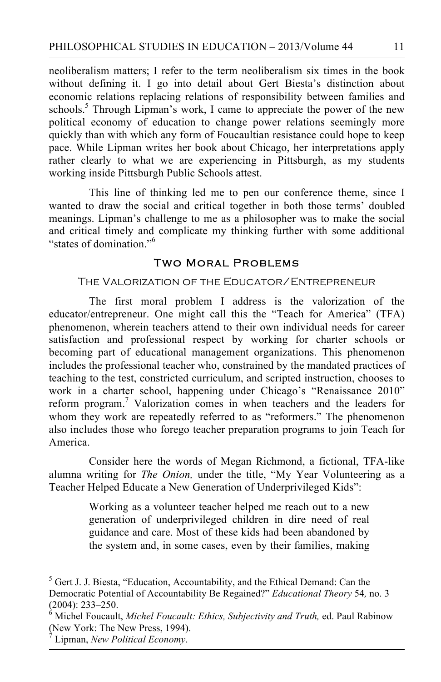neoliberalism matters; I refer to the term neoliberalism six times in the book without defining it. I go into detail about Gert Biesta's distinction about economic relations replacing relations of responsibility between families and schools.<sup>5</sup> Through Lipman's work, I came to appreciate the power of the new political economy of education to change power relations seemingly more quickly than with which any form of Foucaultian resistance could hope to keep pace. While Lipman writes her book about Chicago, her interpretations apply rather clearly to what we are experiencing in Pittsburgh, as my students working inside Pittsburgh Public Schools attest.

This line of thinking led me to pen our conference theme, since I wanted to draw the social and critical together in both those terms' doubled meanings. Lipman's challenge to me as a philosopher was to make the social and critical timely and complicate my thinking further with some additional "states of domination."6

## Two Moral Problems

#### The Valorization of the Educator/Entrepreneur

The first moral problem I address is the valorization of the educator/entrepreneur. One might call this the "Teach for America" (TFA) phenomenon, wherein teachers attend to their own individual needs for career satisfaction and professional respect by working for charter schools or becoming part of educational management organizations. This phenomenon includes the professional teacher who, constrained by the mandated practices of teaching to the test, constricted curriculum, and scripted instruction, chooses to work in a charter school, happening under Chicago's "Renaissance 2010" reform program.<sup>7</sup> Valorization comes in when teachers and the leaders for whom they work are repeatedly referred to as "reformers." The phenomenon also includes those who forego teacher preparation programs to join Teach for America.

Consider here the words of Megan Richmond, a fictional, TFA-like alumna writing for *The Onion,* under the title, "My Year Volunteering as a Teacher Helped Educate a New Generation of Underprivileged Kids":

> Working as a volunteer teacher helped me reach out to a new generation of underprivileged children in dire need of real guidance and care. Most of these kids had been abandoned by the system and, in some cases, even by their families, making

5  $5$  Gert J. J. Biesta, "Education, Accountability, and the Ethical Demand: Can the Democratic Potential of Accountability Be Regained?" *Educational Theory* 54*,* no. 3  $(2004): 233 - 250.$ 

Michel Foucault, *Michel Foucault: Ethics, Subjectivity and Truth,* ed. Paul Rabinow (New York: The New Press, 1994).

<sup>7</sup> Lipman, *New Political Economy*.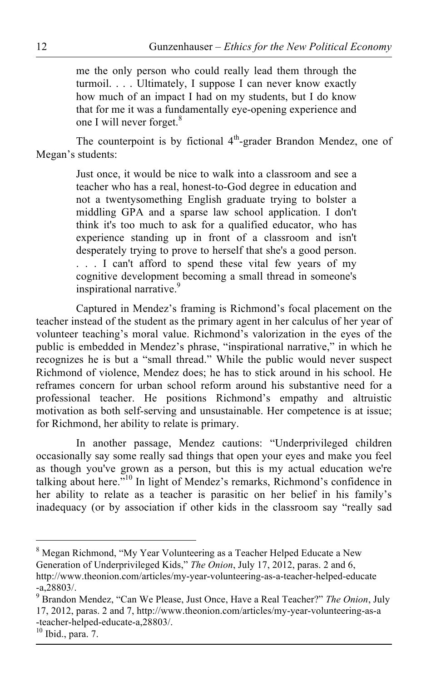me the only person who could really lead them through the turmoil. . . . Ultimately, I suppose I can never know exactly how much of an impact I had on my students, but I do know that for me it was a fundamentally eye-opening experience and one I will never forget.<sup>8</sup>

The counterpoint is by fictional  $4<sup>th</sup>$ -grader Brandon Mendez, one of Megan's students:

> Just once, it would be nice to walk into a classroom and see a teacher who has a real, honest-to-God degree in education and not a twentysomething English graduate trying to bolster a middling GPA and a sparse law school application. I don't think it's too much to ask for a qualified educator, who has experience standing up in front of a classroom and isn't desperately trying to prove to herself that she's a good person. . . . I can't afford to spend these vital few years of my cognitive development becoming a small thread in someone's inspirational narrative.<sup>9</sup>

Captured in Mendez's framing is Richmond's focal placement on the teacher instead of the student as the primary agent in her calculus of her year of volunteer teaching's moral value. Richmond's valorization in the eyes of the public is embedded in Mendez's phrase, "inspirational narrative," in which he recognizes he is but a "small thread." While the public would never suspect Richmond of violence, Mendez does; he has to stick around in his school. He reframes concern for urban school reform around his substantive need for a professional teacher. He positions Richmond's empathy and altruistic motivation as both self-serving and unsustainable. Her competence is at issue; for Richmond, her ability to relate is primary.

In another passage, Mendez cautions: "Underprivileged children occasionally say some really sad things that open your eyes and make you feel as though you've grown as a person, but this is my actual education we're talking about here."10 In light of Mendez's remarks, Richmond's confidence in her ability to relate as a teacher is parasitic on her belief in his family's inadequacy (or by association if other kids in the classroom say "really sad

<sup>8</sup> Megan Richmond, "My Year Volunteering as a Teacher Helped Educate a New Generation of Underprivileged Kids," *The Onion*, July 17, 2012, paras. 2 and 6, http://www.theonion.com/articles/my-year-volunteering-as-a-teacher-helped-educate -a,28803/.<br><sup>9</sup> Brandon Mendez, "Can We Please, Just Once, Have a Real Teacher?" *The Onion*, July

<sup>17, 2012,</sup> paras. 2 and 7, http://www.theonion.com/articles/my-year-volunteering-as-a -teacher-helped-educate-a,28803/. 10 Ibid., para. 7.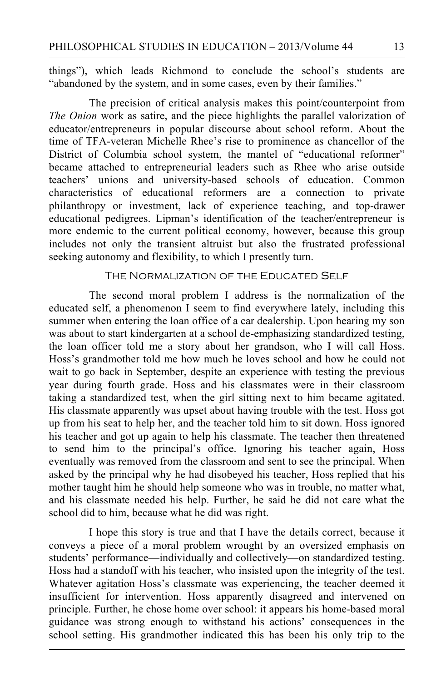things"), which leads Richmond to conclude the school's students are "abandoned by the system, and in some cases, even by their families."

The precision of critical analysis makes this point/counterpoint from *The Onion* work as satire, and the piece highlights the parallel valorization of educator/entrepreneurs in popular discourse about school reform. About the time of TFA-veteran Michelle Rhee's rise to prominence as chancellor of the District of Columbia school system, the mantel of "educational reformer" became attached to entrepreneurial leaders such as Rhee who arise outside teachers' unions and university-based schools of education. Common characteristics of educational reformers are a connection to private philanthropy or investment, lack of experience teaching, and top-drawer educational pedigrees. Lipman's identification of the teacher/entrepreneur is more endemic to the current political economy, however, because this group includes not only the transient altruist but also the frustrated professional seeking autonomy and flexibility, to which I presently turn.

#### THE NORMALIZATION OF THE EDUCATED SELF

The second moral problem I address is the normalization of the educated self, a phenomenon I seem to find everywhere lately, including this summer when entering the loan office of a car dealership. Upon hearing my son was about to start kindergarten at a school de-emphasizing standardized testing, the loan officer told me a story about her grandson, who I will call Hoss. Hoss's grandmother told me how much he loves school and how he could not wait to go back in September, despite an experience with testing the previous year during fourth grade. Hoss and his classmates were in their classroom taking a standardized test, when the girl sitting next to him became agitated. His classmate apparently was upset about having trouble with the test. Hoss got up from his seat to help her, and the teacher told him to sit down. Hoss ignored his teacher and got up again to help his classmate. The teacher then threatened to send him to the principal's office. Ignoring his teacher again, Hoss eventually was removed from the classroom and sent to see the principal. When asked by the principal why he had disobeyed his teacher, Hoss replied that his mother taught him he should help someone who was in trouble, no matter what, and his classmate needed his help. Further, he said he did not care what the school did to him, because what he did was right.

I hope this story is true and that I have the details correct, because it conveys a piece of a moral problem wrought by an oversized emphasis on students' performance—individually and collectively—on standardized testing. Hoss had a standoff with his teacher, who insisted upon the integrity of the test. Whatever agitation Hoss's classmate was experiencing, the teacher deemed it insufficient for intervention. Hoss apparently disagreed and intervened on principle. Further, he chose home over school: it appears his home-based moral guidance was strong enough to withstand his actions' consequences in the school setting. His grandmother indicated this has been his only trip to the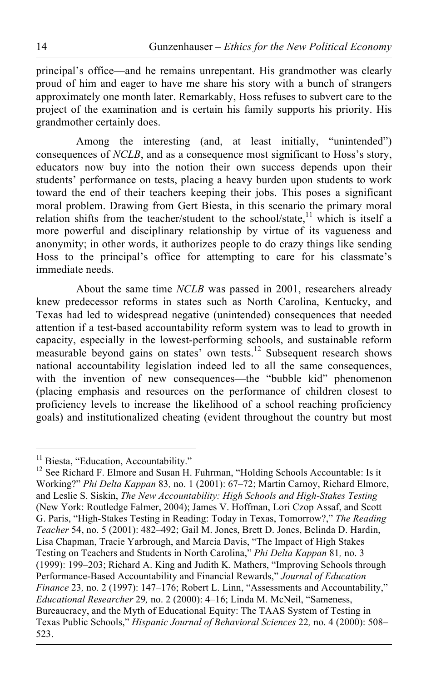principal's office—and he remains unrepentant. His grandmother was clearly proud of him and eager to have me share his story with a bunch of strangers approximately one month later. Remarkably, Hoss refuses to subvert care to the project of the examination and is certain his family supports his priority. His grandmother certainly does.

Among the interesting (and, at least initially, "unintended") consequences of *NCLB*, and as a consequence most significant to Hoss's story, educators now buy into the notion their own success depends upon their students' performance on tests, placing a heavy burden upon students to work toward the end of their teachers keeping their jobs. This poses a significant moral problem. Drawing from Gert Biesta, in this scenario the primary moral relation shifts from the teacher/student to the school/state, $11$  which is itself a more powerful and disciplinary relationship by virtue of its vagueness and anonymity; in other words, it authorizes people to do crazy things like sending Hoss to the principal's office for attempting to care for his classmate's immediate needs.

About the same time *NCLB* was passed in 2001, researchers already knew predecessor reforms in states such as North Carolina, Kentucky, and Texas had led to widespread negative (unintended) consequences that needed attention if a test-based accountability reform system was to lead to growth in capacity, especially in the lowest-performing schools, and sustainable reform measurable beyond gains on states' own tests.<sup>12</sup> Subsequent research shows national accountability legislation indeed led to all the same consequences, with the invention of new consequences—the "bubble kid" phenomenon (placing emphasis and resources on the performance of children closest to proficiency levels to increase the likelihood of a school reaching proficiency goals) and institutionalized cheating (evident throughout the country but most

<sup>&</sup>lt;sup>11</sup> Biesta, "Education, Accountability." <sup>12</sup> See Richard F. Elmore and Susan H. Fuhrman, "Holding Schools Accountable: Is it Working?" *Phi Delta Kappan* 83*,* no. 1 (2001): 67–72; Martin Carnoy, Richard Elmore, and Leslie S. Siskin, *The New Accountability: High Schools and High-Stakes Testing*  (New York: Routledge Falmer, 2004); James V. Hoffman, Lori Czop Assaf, and Scott G. Paris, "High-Stakes Testing in Reading: Today in Texas, Tomorrow?," *The Reading Teacher* 54, no. 5 (2001): 482–492; Gail M. Jones, Brett D. Jones, Belinda D. Hardin, Lisa Chapman, Tracie Yarbrough, and Marcia Davis, "The Impact of High Stakes Testing on Teachers and Students in North Carolina," *Phi Delta Kappan* 81*,* no. 3 (1999): 199–203; Richard A. King and Judith K. Mathers, "Improving Schools through Performance-Based Accountability and Financial Rewards," *Journal of Education Finance* 23, no. 2 (1997): 147–176; Robert L. Linn, "Assessments and Accountability," *Educational Researcher* 29*,* no. 2 (2000): 4–16; Linda M. McNeil, "Sameness, Bureaucracy, and the Myth of Educational Equity: The TAAS System of Testing in Texas Public Schools," *Hispanic Journal of Behavioral Sciences* 22*,* no. 4 (2000): 508– 523.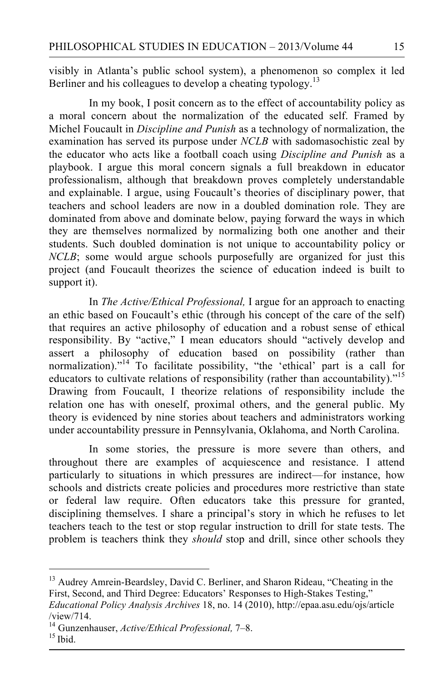visibly in Atlanta's public school system), a phenomenon so complex it led Berliner and his colleagues to develop a cheating typology.<sup>13</sup>

In my book, I posit concern as to the effect of accountability policy as a moral concern about the normalization of the educated self. Framed by Michel Foucault in *Discipline and Punish* as a technology of normalization, the examination has served its purpose under *NCLB* with sadomasochistic zeal by the educator who acts like a football coach using *Discipline and Punish* as a playbook. I argue this moral concern signals a full breakdown in educator professionalism, although that breakdown proves completely understandable and explainable. I argue, using Foucault's theories of disciplinary power, that teachers and school leaders are now in a doubled domination role. They are dominated from above and dominate below, paying forward the ways in which they are themselves normalized by normalizing both one another and their students. Such doubled domination is not unique to accountability policy or *NCLB*; some would argue schools purposefully are organized for just this project (and Foucault theorizes the science of education indeed is built to support it).

In *The Active/Ethical Professional,* I argue for an approach to enacting an ethic based on Foucault's ethic (through his concept of the care of the self) that requires an active philosophy of education and a robust sense of ethical responsibility. By "active," I mean educators should "actively develop and assert a philosophy of education based on possibility (rather than normalization)."<sup>14</sup> To facilitate possibility, "the 'ethical' part is a call for educators to cultivate relations of responsibility (rather than accountability)."<sup>15</sup> Drawing from Foucault, I theorize relations of responsibility include the relation one has with oneself, proximal others, and the general public. My theory is evidenced by nine stories about teachers and administrators working under accountability pressure in Pennsylvania, Oklahoma, and North Carolina.

In some stories, the pressure is more severe than others, and throughout there are examples of acquiescence and resistance. I attend particularly to situations in which pressures are indirect—for instance, how schools and districts create policies and procedures more restrictive than state or federal law require. Often educators take this pressure for granted, disciplining themselves. I share a principal's story in which he refuses to let teachers teach to the test or stop regular instruction to drill for state tests. The problem is teachers think they *should* stop and drill, since other schools they

<sup>&</sup>lt;sup>13</sup> Audrey Amrein-Beardsley, David C. Berliner, and Sharon Rideau, "Cheating in the First, Second, and Third Degree: Educators' Responses to High-Stakes Testing,"

*Educational Policy Analysis Archives* 18, no. 14 (2010), http://epaa.asu.edu/ojs/article

<sup>/</sup>view/714. 14 Gunzenhauser, *Active/Ethical Professional,* 7–8. 15 Ibid.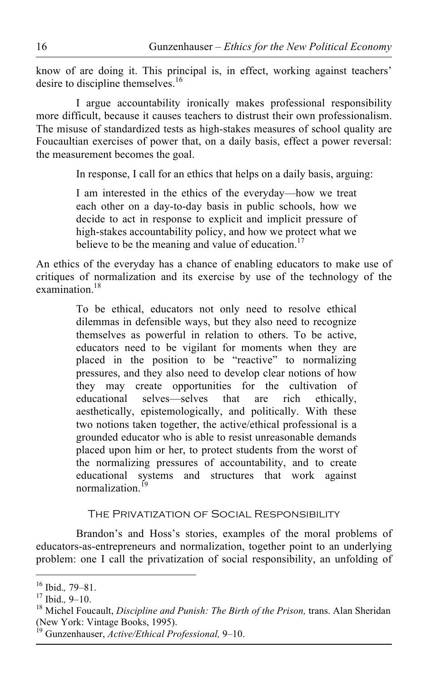know of are doing it. This principal is, in effect, working against teachers' desire to discipline themselves.<sup>16</sup>

I argue accountability ironically makes professional responsibility more difficult, because it causes teachers to distrust their own professionalism. The misuse of standardized tests as high-stakes measures of school quality are Foucaultian exercises of power that, on a daily basis, effect a power reversal: the measurement becomes the goal.

In response, I call for an ethics that helps on a daily basis, arguing:

I am interested in the ethics of the everyday—how we treat each other on a day-to-day basis in public schools, how we decide to act in response to explicit and implicit pressure of high-stakes accountability policy, and how we protect what we believe to be the meaning and value of education.<sup>17</sup>

An ethics of the everyday has a chance of enabling educators to make use of critiques of normalization and its exercise by use of the technology of the examination.<sup>18</sup>

> To be ethical, educators not only need to resolve ethical dilemmas in defensible ways, but they also need to recognize themselves as powerful in relation to others. To be active, educators need to be vigilant for moments when they are placed in the position to be "reactive" to normalizing pressures, and they also need to develop clear notions of how they may create opportunities for the cultivation of educational selves—selves that are rich ethically, aesthetically, epistemologically, and politically. With these two notions taken together, the active/ethical professional is a grounded educator who is able to resist unreasonable demands placed upon him or her, to protect students from the worst of the normalizing pressures of accountability, and to create educational systems and structures that work against normalization<sup>19</sup>

### The Privatization of Social Responsibility

Brandon's and Hoss's stories, examples of the moral problems of educators-as-entrepreneurs and normalization, together point to an underlying problem: one I call the privatization of social responsibility, an unfolding of

<sup>&</sup>lt;sup>16</sup> Ibid., 79–81.<br><sup>17</sup> Ibid., 9–10.<br><sup>18</sup> Michel Foucault, *Discipline and Punish: The Birth of the Prison*, trans. Alan Sheridan (New York: Vintage Books, 1995).

<sup>19</sup> Gunzenhauser, *Active/Ethical Professional,* 9–10.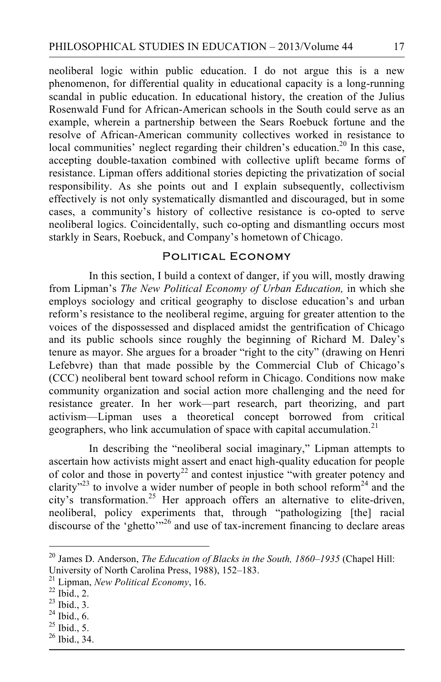neoliberal logic within public education. I do not argue this is a new phenomenon, for differential quality in educational capacity is a long-running scandal in public education. In educational history, the creation of the Julius Rosenwald Fund for African-American schools in the South could serve as an example, wherein a partnership between the Sears Roebuck fortune and the resolve of African-American community collectives worked in resistance to local communities' neglect regarding their children's education.<sup>20</sup> In this case, accepting double-taxation combined with collective uplift became forms of resistance. Lipman offers additional stories depicting the privatization of social responsibility. As she points out and I explain subsequently, collectivism effectively is not only systematically dismantled and discouraged, but in some cases, a community's history of collective resistance is co-opted to serve neoliberal logics. Coincidentally, such co-opting and dismantling occurs most starkly in Sears, Roebuck, and Company's hometown of Chicago.

# Political Economy

In this section, I build a context of danger, if you will, mostly drawing from Lipman's *The New Political Economy of Urban Education,* in which she employs sociology and critical geography to disclose education's and urban reform's resistance to the neoliberal regime, arguing for greater attention to the voices of the dispossessed and displaced amidst the gentrification of Chicago and its public schools since roughly the beginning of Richard M. Daley's tenure as mayor. She argues for a broader "right to the city" (drawing on Henri Lefebvre) than that made possible by the Commercial Club of Chicago's (CCC) neoliberal bent toward school reform in Chicago. Conditions now make community organization and social action more challenging and the need for resistance greater. In her work—part research, part theorizing, and part activism—Lipman uses a theoretical concept borrowed from critical geographers, who link accumulation of space with capital accumulation.<sup>21</sup>

In describing the "neoliberal social imaginary," Lipman attempts to ascertain how activists might assert and enact high-quality education for people of color and those in poverty<sup>22</sup> and contest injustice "with greater potency and clarity"<sup>23</sup> to involve a wider number of people in both school reform<sup>24</sup> and the city's transformation.<sup>25</sup> Her approach offers an alternative to elite-driven, neoliberal, policy experiments that, through "pathologizing [the] racial discourse of the 'ghetto'<sup>326</sup> and use of tax-increment financing to declare areas

- $^{25}$  Ibid., 5.
- $26$  Ibid., 34.

20 James D. Anderson, *The Education of Blacks in the South, 1860–1935* (Chapel Hill: University of North Carolina Press, 1988), 152–183. 21 Lipman, *New Political Economy*, 16. 22 Ibid., 2.

<sup>23</sup> Ibid., 3.

 $^{24}$  Ibid., 6.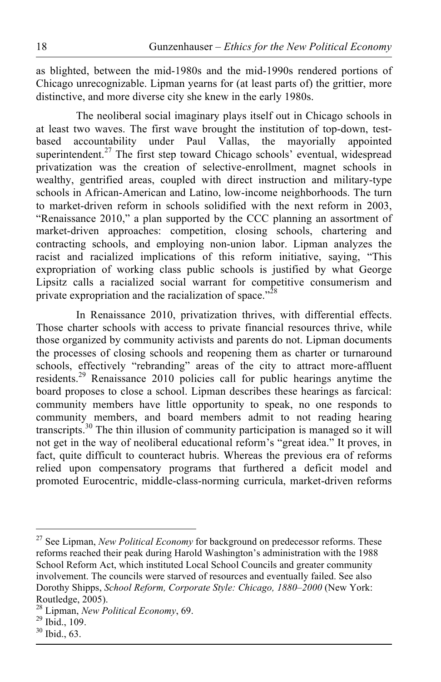as blighted, between the mid-1980s and the mid-1990s rendered portions of Chicago unrecognizable. Lipman yearns for (at least parts of) the grittier, more distinctive, and more diverse city she knew in the early 1980s.

The neoliberal social imaginary plays itself out in Chicago schools in at least two waves. The first wave brought the institution of top-down, testbased accountability under Paul Vallas, the mayorially appointed superintendent.<sup>27</sup> The first step toward Chicago schools' eventual, widespread privatization was the creation of selective-enrollment, magnet schools in wealthy, gentrified areas, coupled with direct instruction and military-type schools in African-American and Latino, low-income neighborhoods. The turn to market-driven reform in schools solidified with the next reform in 2003, "Renaissance 2010," a plan supported by the CCC planning an assortment of market-driven approaches: competition, closing schools, chartering and contracting schools, and employing non-union labor. Lipman analyzes the racist and racialized implications of this reform initiative, saying, "This expropriation of working class public schools is justified by what George Lipsitz calls a racialized social warrant for competitive consumerism and private expropriation and the racialization of space."<sup>28</sup>

In Renaissance 2010, privatization thrives, with differential effects. Those charter schools with access to private financial resources thrive, while those organized by community activists and parents do not. Lipman documents the processes of closing schools and reopening them as charter or turnaround schools, effectively "rebranding" areas of the city to attract more-affluent residents.29 Renaissance 2010 policies call for public hearings anytime the board proposes to close a school. Lipman describes these hearings as farcical: community members have little opportunity to speak, no one responds to community members, and board members admit to not reading hearing transcripts.30 The thin illusion of community participation is managed so it will not get in the way of neoliberal educational reform's "great idea." It proves, in fact, quite difficult to counteract hubris. Whereas the previous era of reforms relied upon compensatory programs that furthered a deficit model and promoted Eurocentric, middle-class-norming curricula, market-driven reforms

<sup>&</sup>lt;sup>27</sup> See Lipman, *New Political Economy* for background on predecessor reforms. These reforms reached their peak during Harold Washington's administration with the 1988 School Reform Act, which instituted Local School Councils and greater community involvement. The councils were starved of resources and eventually failed. See also Dorothy Shipps, *School Reform, Corporate Style: Chicago, 1880–2000* (New York: Routledge, 2005).

<sup>28</sup> Lipman, *New Political Economy*, 69. 29 Ibid., 109.

 $30$  Ibid., 63.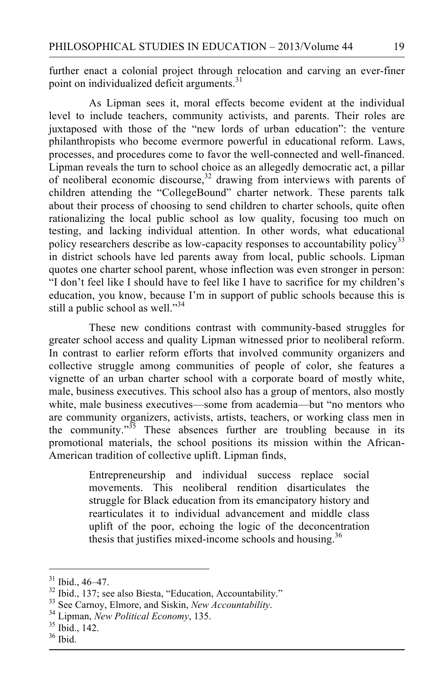further enact a colonial project through relocation and carving an ever-finer point on individualized deficit arguments. $31$ 

As Lipman sees it, moral effects become evident at the individual level to include teachers, community activists, and parents. Their roles are juxtaposed with those of the "new lords of urban education": the venture philanthropists who become evermore powerful in educational reform. Laws, processes, and procedures come to favor the well-connected and well-financed. Lipman reveals the turn to school choice as an allegedly democratic act, a pillar of neoliberal economic discourse, $32$  drawing from interviews with parents of children attending the "CollegeBound" charter network. These parents talk about their process of choosing to send children to charter schools, quite often rationalizing the local public school as low quality, focusing too much on testing, and lacking individual attention. In other words, what educational policy researchers describe as low-capacity responses to accountability policy<sup>33</sup> in district schools have led parents away from local, public schools. Lipman quotes one charter school parent, whose inflection was even stronger in person: "I don't feel like I should have to feel like I have to sacrifice for my children's education, you know, because I'm in support of public schools because this is still a public school as well."<sup>34</sup>

These new conditions contrast with community-based struggles for greater school access and quality Lipman witnessed prior to neoliberal reform. In contrast to earlier reform efforts that involved community organizers and collective struggle among communities of people of color, she features a vignette of an urban charter school with a corporate board of mostly white, male, business executives. This school also has a group of mentors, also mostly white, male business executives—some from academia—but "no mentors who are community organizers, activists, artists, teachers, or working class men in the community."<sup>35</sup> These absences further are troubling because in its promotional materials, the school positions its mission within the African-American tradition of collective uplift. Lipman finds,

> Entrepreneurship and individual success replace social movements. This neoliberal rendition disarticulates the struggle for Black education from its emancipatory history and rearticulates it to individual advancement and middle class uplift of the poor, echoing the logic of the deconcentration thesis that justifies mixed-income schools and housing.<sup>36</sup>

<sup>&</sup>lt;sup>31</sup> Ibid., 46–47.<br><sup>32</sup> Ibid., 137; see also Biesta, "Education, Accountability."<br><sup>33</sup> See Carnoy, Elmore, and Siskin, *New Accountability*.<br><sup>34</sup> Lipman, *New Political Economy*, 135.<br><sup>35</sup> Ibid., 142.

<sup>36</sup> Ibid.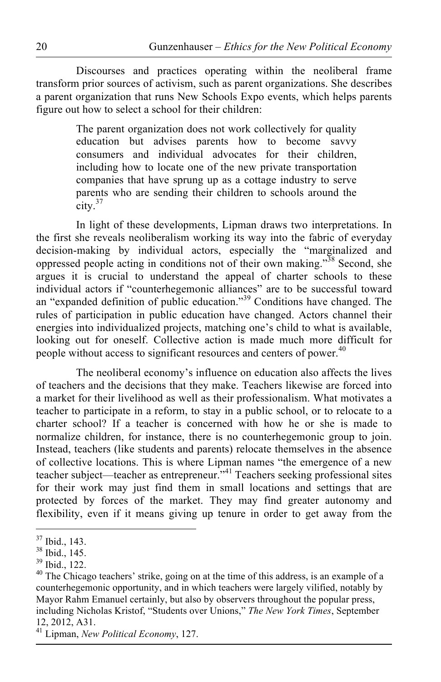Discourses and practices operating within the neoliberal frame transform prior sources of activism, such as parent organizations. She describes a parent organization that runs New Schools Expo events, which helps parents figure out how to select a school for their children:

> The parent organization does not work collectively for quality education but advises parents how to become savvy consumers and individual advocates for their children, including how to locate one of the new private transportation companies that have sprung up as a cottage industry to serve parents who are sending their children to schools around the  $\text{city.}^{37}$

In light of these developments, Lipman draws two interpretations. In the first she reveals neoliberalism working its way into the fabric of everyday decision-making by individual actors, especially the "marginalized and oppressed people acting in conditions not of their own making."38 Second, she argues it is crucial to understand the appeal of charter schools to these individual actors if "counterhegemonic alliances" are to be successful toward an "expanded definition of public education."<sup>39</sup> Conditions have changed. The rules of participation in public education have changed. Actors channel their energies into individualized projects, matching one's child to what is available, looking out for oneself. Collective action is made much more difficult for people without access to significant resources and centers of power.<sup>40</sup>

The neoliberal economy's influence on education also affects the lives of teachers and the decisions that they make. Teachers likewise are forced into a market for their livelihood as well as their professionalism. What motivates a teacher to participate in a reform, to stay in a public school, or to relocate to a charter school? If a teacher is concerned with how he or she is made to normalize children, for instance, there is no counterhegemonic group to join. Instead, teachers (like students and parents) relocate themselves in the absence of collective locations. This is where Lipman names "the emergence of a new teacher subject—teacher as entrepreneur."41 Teachers seeking professional sites for their work may just find them in small locations and settings that are protected by forces of the market. They may find greater autonomy and flexibility, even if it means giving up tenure in order to get away from the

37 Ibid., 143.

<sup>38</sup> Ibid., 145.

<sup>39</sup> Ibid., 122.

 $40$  The Chicago teachers' strike, going on at the time of this address, is an example of a counterhegemonic opportunity, and in which teachers were largely vilified, notably by Mayor Rahm Emanuel certainly, but also by observers throughout the popular press, including Nicholas Kristof, "Students over Unions," *The New York Times*, September 12, 2012, A31. 41 Lipman, *New Political Economy*, 127.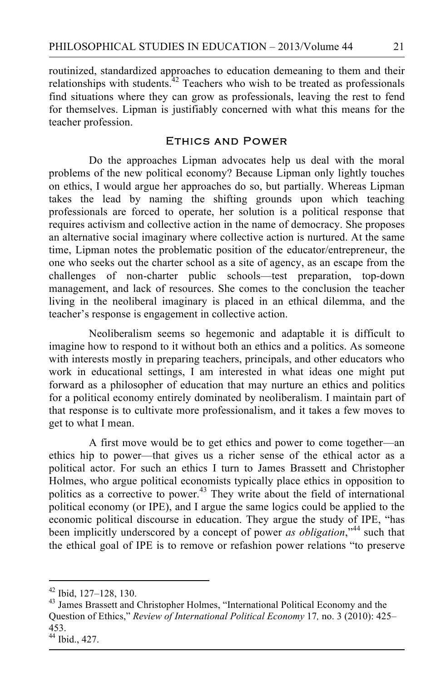routinized, standardized approaches to education demeaning to them and their relationships with students.<sup> $42$ </sup> Teachers who wish to be treated as professionals find situations where they can grow as professionals, leaving the rest to fend for themselves. Lipman is justifiably concerned with what this means for the teacher profession.

## Ethics and Power

Do the approaches Lipman advocates help us deal with the moral problems of the new political economy? Because Lipman only lightly touches on ethics, I would argue her approaches do so, but partially. Whereas Lipman takes the lead by naming the shifting grounds upon which teaching professionals are forced to operate, her solution is a political response that requires activism and collective action in the name of democracy. She proposes an alternative social imaginary where collective action is nurtured. At the same time, Lipman notes the problematic position of the educator/entrepreneur, the one who seeks out the charter school as a site of agency, as an escape from the challenges of non-charter public schools—test preparation, top-down management, and lack of resources. She comes to the conclusion the teacher living in the neoliberal imaginary is placed in an ethical dilemma, and the teacher's response is engagement in collective action.

Neoliberalism seems so hegemonic and adaptable it is difficult to imagine how to respond to it without both an ethics and a politics. As someone with interests mostly in preparing teachers, principals, and other educators who work in educational settings, I am interested in what ideas one might put forward as a philosopher of education that may nurture an ethics and politics for a political economy entirely dominated by neoliberalism. I maintain part of that response is to cultivate more professionalism, and it takes a few moves to get to what I mean.

A first move would be to get ethics and power to come together—an ethics hip to power—that gives us a richer sense of the ethical actor as a political actor. For such an ethics I turn to James Brassett and Christopher Holmes, who argue political economists typically place ethics in opposition to politics as a corrective to power.<sup>43</sup> They write about the field of international political economy (or IPE), and I argue the same logics could be applied to the economic political discourse in education. They argue the study of IPE, "has been implicitly underscored by a concept of power *as obligation*,"44 such that the ethical goal of IPE is to remove or refashion power relations "to preserve

<sup>&</sup>lt;sup>42</sup> Ibid, 127–128, 130.<br><sup>43</sup> James Brassett and Christopher Holmes, "International Political Economy and the Question of Ethics," *Review of International Political Economy* 17*,* no. 3 (2010): 425– 453.

<sup>44</sup> Ibid., 427.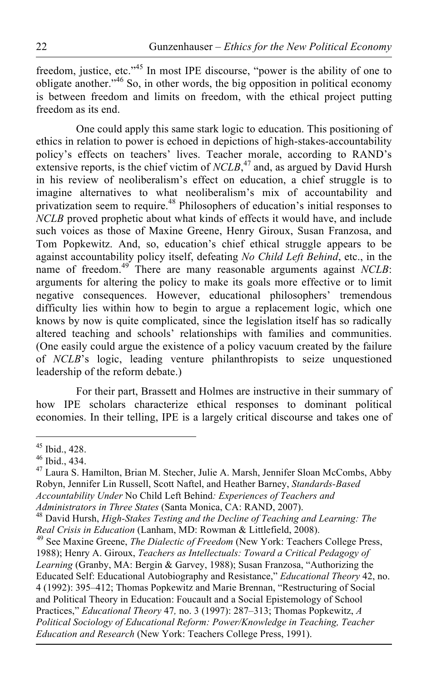freedom, justice, etc."<sup>45</sup> In most IPE discourse, "power is the ability of one to obligate another."46 So, in other words, the big opposition in political economy is between freedom and limits on freedom, with the ethical project putting freedom as its end.

One could apply this same stark logic to education. This positioning of ethics in relation to power is echoed in depictions of high-stakes-accountability policy's effects on teachers' lives. Teacher morale, according to RAND's extensive reports, is the chief victim of *NCLB*<sup>47</sup> and, as argued by David Hursh in his review of neoliberalism's effect on education, a chief struggle is to imagine alternatives to what neoliberalism's mix of accountability and privatization seem to require.48 Philosophers of education's initial responses to *NCLB* proved prophetic about what kinds of effects it would have, and include such voices as those of Maxine Greene, Henry Giroux, Susan Franzosa, and Tom Popkewitz. And, so, education's chief ethical struggle appears to be against accountability policy itself, defeating *No Child Left Behind*, etc., in the name of freedom.<sup>49</sup> There are many reasonable arguments against *NCLB*: arguments for altering the policy to make its goals more effective or to limit negative consequences. However, educational philosophers' tremendous difficulty lies within how to begin to argue a replacement logic, which one knows by now is quite complicated, since the legislation itself has so radically altered teaching and schools' relationships with families and communities. (One easily could argue the existence of a policy vacuum created by the failure of *NCLB*'s logic, leading venture philanthropists to seize unquestioned leadership of the reform debate.)

For their part, Brassett and Holmes are instructive in their summary of how IPE scholars characterize ethical responses to dominant political economies. In their telling, IPE is a largely critical discourse and takes one of

45 Ibid., 428.

<sup>46</sup> Ibid., 434.

<sup>47</sup> Laura S. Hamilton, Brian M. Stecher, Julie A. Marsh, Jennifer Sloan McCombs, Abby Robyn, Jennifer Lin Russell, Scott Naftel, and Heather Barney, *Standards-Based Accountability Under* No Child Left Behind*: Experiences of Teachers and* 

<sup>&</sup>lt;sup>48</sup> David Hursh, *High-Stakes Testing and the Decline of Teaching and Learning: The Real Crisis in Education* (Lanham, MD: Rowman & Littlefield, 2008). <sup>49</sup> See Maxine Greene, *The Dialectic of Freedom* (New York: Teachers College Press,

<sup>1988);</sup> Henry A. Giroux, *Teachers as Intellectuals: Toward a Critical Pedagogy of Learning* (Granby, MA: Bergin & Garvey, 1988); Susan Franzosa, "Authorizing the Educated Self: Educational Autobiography and Resistance," *Educational Theory* 42, no. 4 (1992): 395–412; Thomas Popkewitz and Marie Brennan, "Restructuring of Social and Political Theory in Education: Foucault and a Social Epistemology of School Practices," *Educational Theory* 47*,* no. 3 (1997): 287–313; Thomas Popkewitz, *A Political Sociology of Educational Reform: Power/Knowledge in Teaching, Teacher Education and Research* (New York: Teachers College Press, 1991).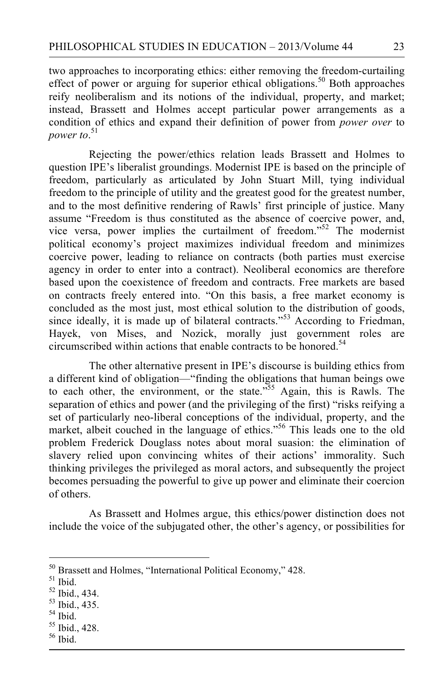two approaches to incorporating ethics: either removing the freedom-curtailing effect of power or arguing for superior ethical obligations.<sup>50</sup> Both approaches reify neoliberalism and its notions of the individual, property, and market; instead, Brassett and Holmes accept particular power arrangements as a condition of ethics and expand their definition of power from *power over* to *power to*. 51

Rejecting the power/ethics relation leads Brassett and Holmes to question IPE's liberalist groundings. Modernist IPE is based on the principle of freedom, particularly as articulated by John Stuart Mill, tying individual freedom to the principle of utility and the greatest good for the greatest number, and to the most definitive rendering of Rawls' first principle of justice. Many assume "Freedom is thus constituted as the absence of coercive power, and, vice versa, power implies the curtailment of freedom."52 The modernist political economy's project maximizes individual freedom and minimizes coercive power, leading to reliance on contracts (both parties must exercise agency in order to enter into a contract). Neoliberal economics are therefore based upon the coexistence of freedom and contracts. Free markets are based on contracts freely entered into. "On this basis, a free market economy is concluded as the most just, most ethical solution to the distribution of goods, since ideally, it is made up of bilateral contracts."<sup>53</sup> According to Friedman, Hayek, von Mises, and Nozick, morally just government roles are circumscribed within actions that enable contracts to be honored.<sup>54</sup>

The other alternative present in IPE's discourse is building ethics from a different kind of obligation—"finding the obligations that human beings owe to each other, the environment, or the state."<sup>55</sup> Again, this is Rawls. The separation of ethics and power (and the privileging of the first) "risks reifying a set of particularly neo-liberal conceptions of the individual, property, and the market, albeit couched in the language of ethics."<sup>56</sup> This leads one to the old problem Frederick Douglass notes about moral suasion: the elimination of slavery relied upon convincing whites of their actions' immorality. Such thinking privileges the privileged as moral actors, and subsequently the project becomes persuading the powerful to give up power and eliminate their coercion of others.

As Brassett and Holmes argue, this ethics/power distinction does not include the voice of the subjugated other, the other's agency, or possibilities for

- 53 Ibid., 435.
- $54$  Ibid.
- 55 Ibid., 428.
- 56 Ibid.

 $50$  Brassett and Holmes, "International Political Economy," 428.<br> $51$  Ibid.

<sup>52</sup> Ibid., 434.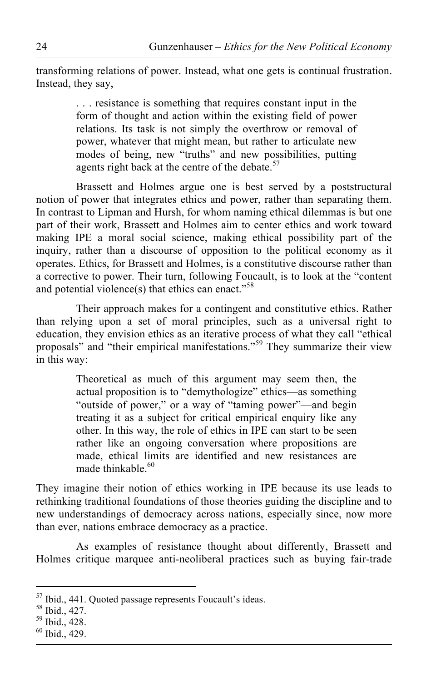transforming relations of power. Instead, what one gets is continual frustration. Instead, they say,

> . . . resistance is something that requires constant input in the form of thought and action within the existing field of power relations. Its task is not simply the overthrow or removal of power, whatever that might mean, but rather to articulate new modes of being, new "truths" and new possibilities, putting agents right back at the centre of the debate.<sup>57</sup>

Brassett and Holmes argue one is best served by a poststructural notion of power that integrates ethics and power, rather than separating them. In contrast to Lipman and Hursh, for whom naming ethical dilemmas is but one part of their work, Brassett and Holmes aim to center ethics and work toward making IPE a moral social science, making ethical possibility part of the inquiry, rather than a discourse of opposition to the political economy as it operates. Ethics, for Brassett and Holmes, is a constitutive discourse rather than a corrective to power. Their turn, following Foucault, is to look at the "content and potential violence(s) that ethics can enact."<sup>58</sup>

Their approach makes for a contingent and constitutive ethics. Rather than relying upon a set of moral principles, such as a universal right to education, they envision ethics as an iterative process of what they call "ethical proposals" and "their empirical manifestations."59 They summarize their view in this way:

> Theoretical as much of this argument may seem then, the actual proposition is to "demythologize" ethics—as something "outside of power," or a way of "taming power"—and begin treating it as a subject for critical empirical enquiry like any other. In this way, the role of ethics in IPE can start to be seen rather like an ongoing conversation where propositions are made, ethical limits are identified and new resistances are made thinkable.<sup>60</sup>

They imagine their notion of ethics working in IPE because its use leads to rethinking traditional foundations of those theories guiding the discipline and to new understandings of democracy across nations, especially since, now more than ever, nations embrace democracy as a practice.

As examples of resistance thought about differently, Brassett and Holmes critique marquee anti-neoliberal practices such as buying fair-trade

<sup>&</sup>lt;sup>57</sup> Ibid., 441. Quoted passage represents Foucault's ideas.<br><sup>58</sup> Ibid., 427.<br><sup>59</sup> Ibid., 428.

 $60$  Ibid., 429.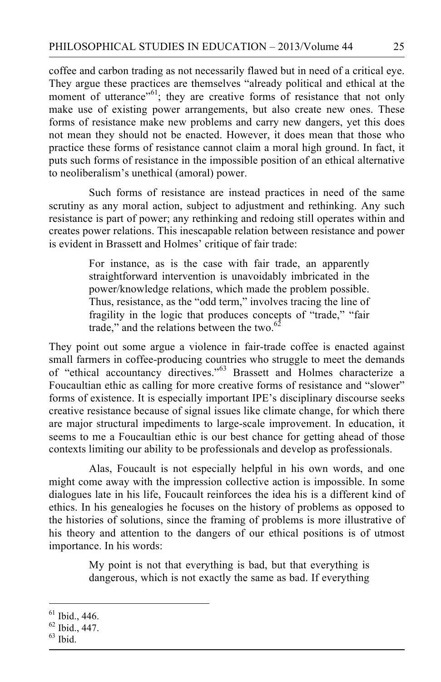coffee and carbon trading as not necessarily flawed but in need of a critical eye. They argue these practices are themselves "already political and ethical at the moment of utterance"<sup>61</sup>; they are creative forms of resistance that not only make use of existing power arrangements, but also create new ones. These forms of resistance make new problems and carry new dangers, yet this does not mean they should not be enacted. However, it does mean that those who practice these forms of resistance cannot claim a moral high ground. In fact, it puts such forms of resistance in the impossible position of an ethical alternative to neoliberalism's unethical (amoral) power.

Such forms of resistance are instead practices in need of the same scrutiny as any moral action, subject to adjustment and rethinking. Any such resistance is part of power; any rethinking and redoing still operates within and creates power relations. This inescapable relation between resistance and power is evident in Brassett and Holmes' critique of fair trade:

> For instance, as is the case with fair trade, an apparently straightforward intervention is unavoidably imbricated in the power/knowledge relations, which made the problem possible. Thus, resistance, as the "odd term," involves tracing the line of fragility in the logic that produces concepts of "trade," "fair trade," and the relations between the two.<sup>62</sup>

They point out some argue a violence in fair-trade coffee is enacted against small farmers in coffee-producing countries who struggle to meet the demands of "ethical accountancy directives."63 Brassett and Holmes characterize a Foucaultian ethic as calling for more creative forms of resistance and "slower" forms of existence. It is especially important IPE's disciplinary discourse seeks creative resistance because of signal issues like climate change, for which there are major structural impediments to large-scale improvement. In education, it seems to me a Foucaultian ethic is our best chance for getting ahead of those contexts limiting our ability to be professionals and develop as professionals.

Alas, Foucault is not especially helpful in his own words, and one might come away with the impression collective action is impossible. In some dialogues late in his life, Foucault reinforces the idea his is a different kind of ethics. In his genealogies he focuses on the history of problems as opposed to the histories of solutions, since the framing of problems is more illustrative of his theory and attention to the dangers of our ethical positions is of utmost importance. In his words:

> My point is not that everything is bad, but that everything is dangerous, which is not exactly the same as bad. If everything

 $61$  Ibid., 446.

<sup>62</sup> Ibid., 447.

 $63$  Ibid.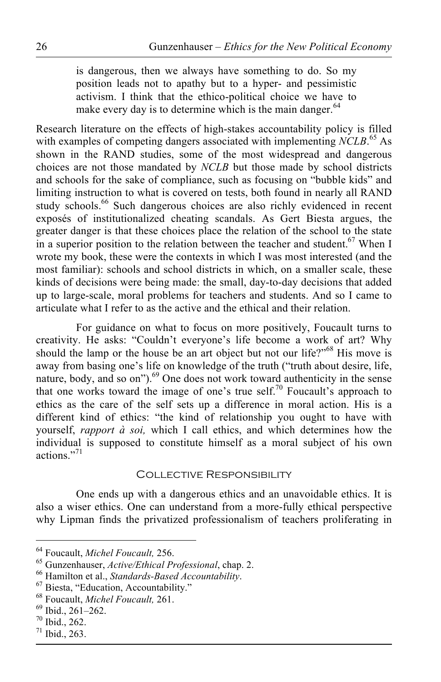is dangerous, then we always have something to do. So my position leads not to apathy but to a hyper- and pessimistic activism. I think that the ethico-political choice we have to make every day is to determine which is the main danger. $64$ 

Research literature on the effects of high-stakes accountability policy is filled with examples of competing dangers associated with implementing *NCLB*. 65 As shown in the RAND studies, some of the most widespread and dangerous choices are not those mandated by *NCLB* but those made by school districts and schools for the sake of compliance, such as focusing on "bubble kids" and limiting instruction to what is covered on tests, both found in nearly all RAND study schools.<sup>66</sup> Such dangerous choices are also richly evidenced in recent exposés of institutionalized cheating scandals. As Gert Biesta argues, the greater danger is that these choices place the relation of the school to the state in a superior position to the relation between the teacher and student. $67$  When I wrote my book, these were the contexts in which I was most interested (and the most familiar): schools and school districts in which, on a smaller scale, these kinds of decisions were being made: the small, day-to-day decisions that added up to large-scale, moral problems for teachers and students. And so I came to articulate what I refer to as the active and the ethical and their relation.

For guidance on what to focus on more positively, Foucault turns to creativity. He asks: "Couldn't everyone's life become a work of art? Why should the lamp or the house be an art object but not our life?"<sup>68</sup> His move is away from basing one's life on knowledge of the truth ("truth about desire, life, nature, body, and so on").<sup>69</sup> One does not work toward authenticity in the sense that one works toward the image of one's true self.<sup>70</sup> Foucault's approach to ethics as the care of the self sets up a difference in moral action. His is a different kind of ethics: "the kind of relationship you ought to have with yourself, *rapport à soi,* which I call ethics, and which determines how the individual is supposed to constitute himself as a moral subject of his own actions<sup>"71</sup>

### Collective Responsibility

One ends up with a dangerous ethics and an unavoidable ethics. It is also a wiser ethics. One can understand from a more-fully ethical perspective why Lipman finds the privatized professionalism of teachers proliferating in

<sup>&</sup>lt;sup>64</sup> Foucault, *Michel Foucault*, 256.<br>
<sup>65</sup> Gunzenhauser, *Active/Ethical Professional*, chap. 2.<br>
<sup>66</sup> Hamilton et al., *Standards-Based Accountability*.<br>
<sup>67</sup> Biesta, "Education, Accountability."<br>
<sup>68</sup> Foucault, *Miche* 

 $71$  Ibid., 263.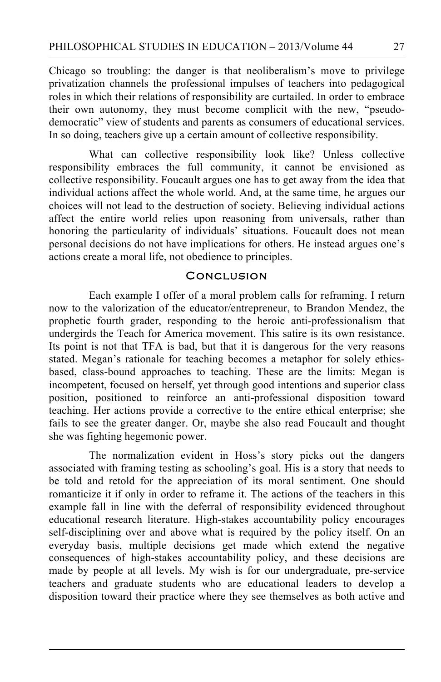Chicago so troubling: the danger is that neoliberalism's move to privilege privatization channels the professional impulses of teachers into pedagogical roles in which their relations of responsibility are curtailed. In order to embrace their own autonomy, they must become complicit with the new, "pseudodemocratic" view of students and parents as consumers of educational services. In so doing, teachers give up a certain amount of collective responsibility.

What can collective responsibility look like? Unless collective responsibility embraces the full community, it cannot be envisioned as collective responsibility. Foucault argues one has to get away from the idea that individual actions affect the whole world. And, at the same time, he argues our choices will not lead to the destruction of society. Believing individual actions affect the entire world relies upon reasoning from universals, rather than honoring the particularity of individuals' situations. Foucault does not mean personal decisions do not have implications for others. He instead argues one's actions create a moral life, not obedience to principles.

#### **CONCLUSION**

Each example I offer of a moral problem calls for reframing. I return now to the valorization of the educator/entrepreneur, to Brandon Mendez, the prophetic fourth grader, responding to the heroic anti-professionalism that undergirds the Teach for America movement. This satire is its own resistance. Its point is not that TFA is bad, but that it is dangerous for the very reasons stated. Megan's rationale for teaching becomes a metaphor for solely ethicsbased, class-bound approaches to teaching. These are the limits: Megan is incompetent, focused on herself, yet through good intentions and superior class position, positioned to reinforce an anti-professional disposition toward teaching. Her actions provide a corrective to the entire ethical enterprise; she fails to see the greater danger. Or, maybe she also read Foucault and thought she was fighting hegemonic power.

The normalization evident in Hoss's story picks out the dangers associated with framing testing as schooling's goal. His is a story that needs to be told and retold for the appreciation of its moral sentiment. One should romanticize it if only in order to reframe it. The actions of the teachers in this example fall in line with the deferral of responsibility evidenced throughout educational research literature. High-stakes accountability policy encourages self-disciplining over and above what is required by the policy itself. On an everyday basis, multiple decisions get made which extend the negative consequences of high-stakes accountability policy, and these decisions are made by people at all levels. My wish is for our undergraduate, pre-service teachers and graduate students who are educational leaders to develop a disposition toward their practice where they see themselves as both active and